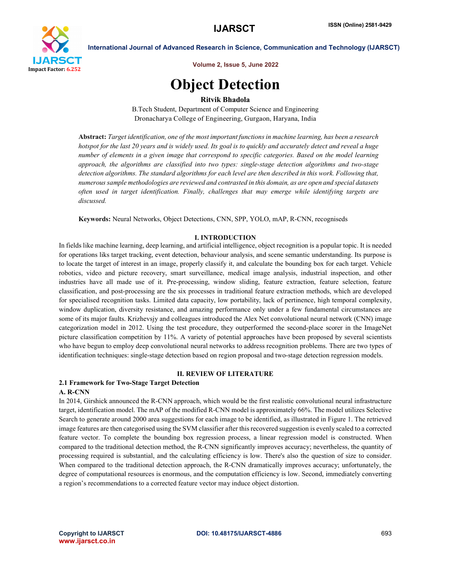

Volume 2, Issue 5, June 2022

# Object Detection

# Ritvik Bhadola

B.Tech Student, Department of Computer Science and Engineering Dronacharya College of Engineering, Gurgaon, Haryana, India

Abstract: *Target identification, one of the most important functions in machine learning, has been a research hotspot for the last 20 years and is widely used. Its goal is to quickly and accurately detect and reveal a huge number of elements in a given image that correspond to specific categories. Based on the model learning approach, the algorithms are classified into two types: single-stage detection algorithms and two-stage detection algorithms. The standard algorithms for each level are then described in this work. Following that, numerous sample methodologies are reviewed and contrasted in this domain, as are open and special datasets often used in target identification. Finally, challenges that may emerge while identifying targets are discussed.*

Keywords: Neural Networks, Object Detections, CNN, SPP, YOLO, mAP, R-CNN, recogniseds

### I. INTRODUCTION

In fields like machine learning, deep learning, and artificial intelligence, object recognition is a popular topic. It is needed for operations liks target tracking, event detection, behaviour analysis, and scene semantic understanding. Its purpose is to locate the target of interest in an image, properly classify it, and calculate the bounding box for each target. Vehicle robotics, video and picture recovery, smart surveillance, medical image analysis, industrial inspection, and other industries have all made use of it. Pre-processing, window sliding, feature extraction, feature selection, feature classification, and post-processing are the six processes in traditional feature extraction methods, which are developed for specialised recognition tasks. Limited data capacity, low portability, lack of pertinence, high temporal complexity, window duplication, diversity resistance, and amazing performance only under a few fundamental circumstances are some of its major faults. Krizhevsjy and colleagues introduced the Alex Net convolutional neural network (CNN) image categorization model in 2012. Using the test procedure, they outperformed the second-place scorer in the ImageNet picture classification competition by 11%. A variety of potential approaches have been proposed by several scientists who have begun to employ deep convolutional neural networks to address recognition problems. There are two types of identification techniques: single-stage detection based on region proposal and two-stage detection regression models.

# II. REVIEW OF LITERATURE

#### 2.1 Framework for Two-Stage Target Detection A. R-CNN

In 2014, Girshick announced the R-CNN approach, which would be the first realistic convolutional neural infrastructure target, identification model. The mAP of the modified R-CNN model is approximately 66%. The model utilizes Selective Search to generate around 2000 area suggestions for each image to be identified, as illustrated in Figure 1. The retrieved image features are then categorised using the SVM classifier after this recovered suggestion is evenly scaled to a corrected feature vector. To complete the bounding box regression process, a linear regression model is constructed. When compared to the traditional detection method, the R-CNN significantly improves accuracy; nevertheless, the quantity of processing required is substantial, and the calculating efficiency is low. There's also the question of size to consider. When compared to the traditional detection approach, the R-CNN dramatically improves accuracy; unfortunately, the degree of computational resources is enormous, and the computation efficiency is low. Second, immediately converting a region's recommendations to a corrected feature vector may induce object distortion.

www.ijarsct.co.in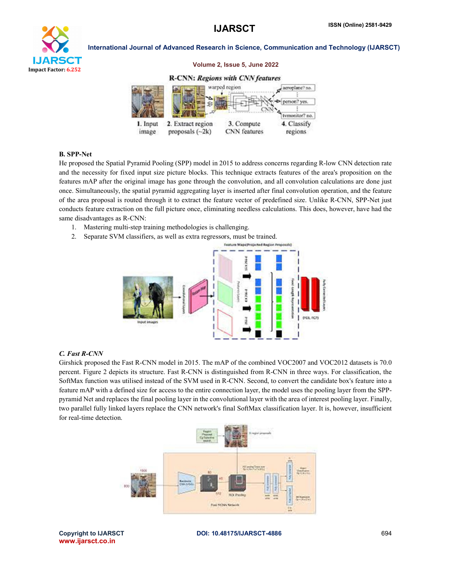Volume 2, Issue 5, June 2022



### International Journal of Advanced Research in Science, Communication and Technology (IJARSCT)



# B. SPP-Net

He proposed the Spatial Pyramid Pooling (SPP) model in 2015 to address concerns regarding R-low CNN detection rate and the necessity for fixed input size picture blocks. This technique extracts features of the area's proposition on the features mAP after the original image has gone through the convolution, and all convolution calculations are done just once. Simultaneously, the spatial pyramid aggregating layer is inserted after final convolution operation, and the feature of the area proposal is routed through it to extract the feature vector of predefined size. Unlike R-CNN, SPP-Net just conducts feature extraction on the full picture once, eliminating needless calculations. This does, however, have had the same disadvantages as R-CNN:

- 1. Mastering multi-step training methodologies is challenging.
- 2. Separate SVM classifiers, as well as extra regressors, must be trained.



#### *C. Fast R-CNN*

Girshick proposed the Fast R-CNN model in 2015. The mAP of the combined VOC2007 and VOC2012 datasets is 70.0 percent. Figure 2 depicts its structure. Fast R-CNN is distinguished from R-CNN in three ways. For classification, the SoftMax function was utilised instead of the SVM used in R-CNN. Second, to convert the candidate box's feature into a feature mAP with a defined size for access to the entire connection layer, the model uses the pooling layer from the SPPpyramid Net and replaces the final pooling layer in the convolutional layer with the area of interest pooling layer. Finally, two parallel fully linked layers replace the CNN network's final SoftMax classification layer. It is, however, insufficient for real-time detection.



www.ijarsct.co.in

Copyright to IJARSCT **DOI: 10.48175/IJARSCT-4886** 694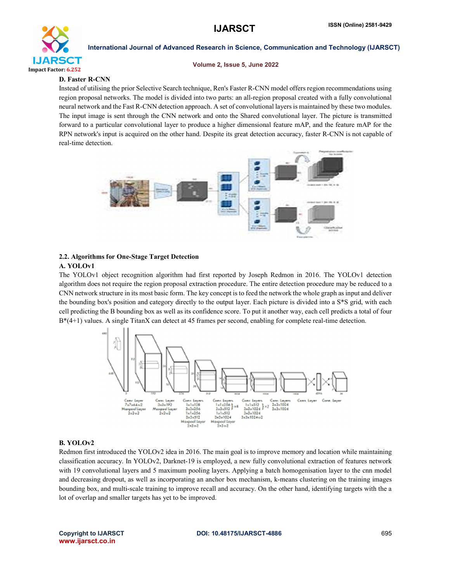

#### Volume 2, Issue 5, June 2022

# D. Faster R-CNN

Instead of utilising the prior Selective Search technique, Ren's Faster R-CNN model offers region recommendations using region proposal networks. The model is divided into two parts: an all-region proposal created with a fully convolutional neural network and the Fast R-CNN detection approach. A set of convolutional layers is maintained by these two modules. The input image is sent through the CNN network and onto the Shared convolutional layer. The picture is transmitted forward to a particular convolutional layer to produce a higher dimensional feature mAP, and the feature mAP for the RPN network's input is acquired on the other hand. Despite its great detection accuracy, faster R-CNN is not capable of real-time detection.



### 2.2. Algorithms for One-Stage Target Detection A. YOLOv1

The YOLOv1 object recognition algorithm had first reported by Joseph Redmon in 2016. The YOLOv1 detection algorithm does not require the region proposal extraction procedure. The entire detection procedure may be reduced to a CNN network structure in its most basic form. The key concept is to feed the network the whole graph as input and deliver the bounding box's position and category directly to the output layer. Each picture is divided into a S\*S grid, with each cell predicting the B bounding box as well as its confidence score. To put it another way, each cell predicts a total of four  $B^*(4+1)$  values. A single TitanX can detect at 45 frames per second, enabling for complete real-time detection.



### B. YOLOv2

Redmon first introduced the YOLOv2 idea in 2016. The main goal is to improve memory and location while maintaining classification accuracy. In YOLOv2, Darknet-19 is employed, a new fully convolutional extraction of features network with 19 convolutional layers and 5 maximum pooling layers. Applying a batch homogenisation layer to the cnn model and decreasing dropout, as well as incorporating an anchor box mechanism, k-means clustering on the training images bounding box, and multi-scale training to improve recall and accuracy. On the other hand, identifying targets with the a lot of overlap and smaller targets has yet to be improved.

www.ijarsct.co.in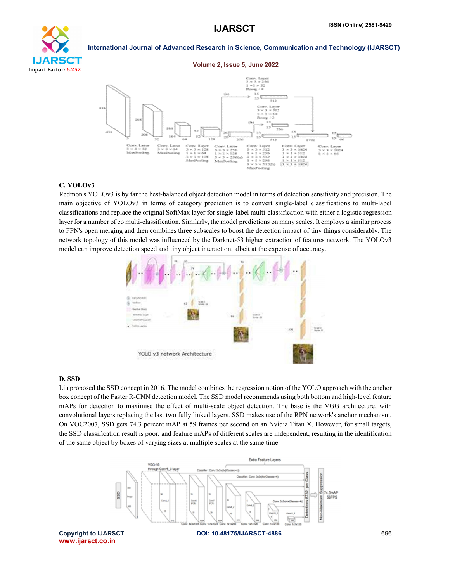

#### Volume 2, Issue 5, June 2022



#### C. YOLOv3

Redmon's YOLOv3 is by far the best-balanced object detection model in terms of detection sensitivity and precision. The main objective of YOLOv3 in terms of category prediction is to convert single-label classifications to multi-label classifications and replace the original SoftMax layer for single-label multi-classification with either a logistic regression layer for a number of co multi-classification. Similarly, the model predictions on many scales. It employs a similar process to FPN's open merging and then combines three subscales to boost the detection impact of tiny things considerably. The network topology of this model was influenced by the Darknet-53 higher extraction of features network. The YOLOv3 model can improve detection speed and tiny object interaction, albeit at the expense of accuracy.



## D. SSD

Liu proposed the SSD concept in 2016. The model combines the regression notion of the YOLO approach with the anchor box concept of the Faster R-CNN detection model. The SSD model recommends using both bottom and high-level feature mAPs for detection to maximise the effect of multi-scale object detection. The base is the VGG architecture, with convolutional layers replacing the last two fully linked layers. SSD makes use of the RPN network's anchor mechanism. On VOC2007, SSD gets 74.3 percent mAP at 59 frames per second on an Nvidia Titan X. However, for small targets, the SSD classification result is poor, and feature mAPs of different scales are independent, resulting in the identification of the same object by boxes of varying sizes at multiple scales at the same time.

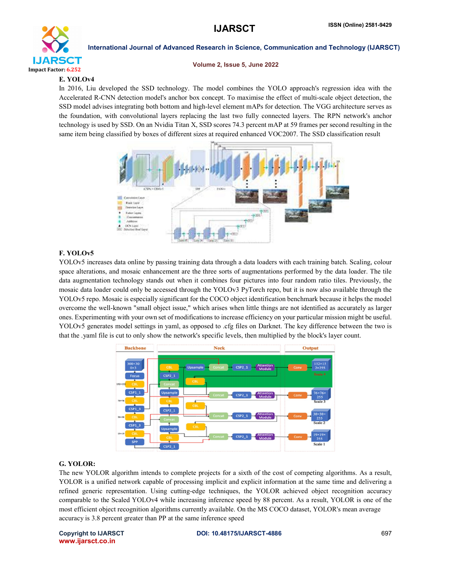

#### Volume 2, Issue 5, June 2022

# E. YOLOv4

In 2016, Liu developed the SSD technology. The model combines the YOLO approach's regression idea with the Accelerated R-CNN detection model's anchor box concept. To maximise the effect of multi-scale object detection, the SSD model advises integrating both bottom and high-level element mAPs for detection. The VGG architecture serves as the foundation, with convolutional layers replacing the last two fully connected layers. The RPN network's anchor technology is used by SSD. On an Nvidia Titan X, SSD scores 74.3 percent mAP at 59 frames per second resulting in the same item being classified by boxes of different sizes at required enhanced VOC2007. The SSD classification result



# F. YOLOv5

YOLOv5 increases data online by passing training data through a data loaders with each training batch. Scaling, colour space alterations, and mosaic enhancement are the three sorts of augmentations performed by the data loader. The tile data augmentation technology stands out when it combines four pictures into four random ratio tiles. Previously, the mosaic data loader could only be accessed through the YOLOv3 PyTorch repo, but it is now also available through the YOLOv5 repo. Mosaic is especially significant for the COCO object identification benchmark because it helps the model overcome the well-known "small object issue," which arises when little things are not identified as accurately as larger ones. Experimenting with your own set of modifications to increase efficiency on your particular mission might be useful. YOLOv5 generates model settings in yaml, as opposed to .cfg files on Darknet. The key difference between the two is that the .yaml file is cut to only show the network's specific levels, then multiplied by the block's layer count.



### G. YOLOR:

The new YOLOR algorithm intends to complete projects for a sixth of the cost of competing algorithms. As a result, YOLOR is a unified network capable of processing implicit and explicit information at the same time and delivering a refined generic representation. Using cutting-edge techniques, the YOLOR achieved object recognition accuracy comparable to the Scaled YOLOv4 while increasing inference speed by 88 percent. As a result, YOLOR is one of the most efficient object recognition algorithms currently available. On the MS COCO dataset, YOLOR's mean average accuracy is 3.8 percent greater than PP at the same inference speed

www.ijarsct.co.in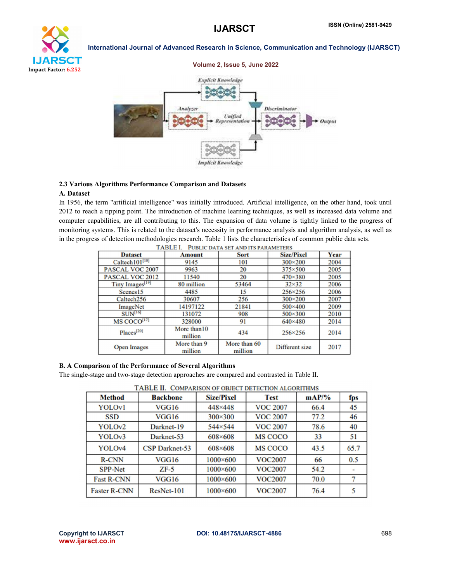



### 2.3 Various Algorithms Performance Comparison and Datasets

# A. Dataset

In 1956, the term "artificial intelligence" was initially introduced. Artificial intelligence, on the other hand, took until 2012 to reach a tipping point. The introduction of machine learning techniques, as well as increased data volume and computer capabilities, are all contributing to this. The expansion of data volume is tightly linked to the progress of monitoring systems. This is related to the dataset's necessity in performance analysis and algorithm analysis, as well as in the progress of detection methodologies research. Table 1 lists the characteristics of common public data sets.

| TABLE I.<br>PUBLIC DATA SET AND ITS PARAMETERS |                         |                         |                   |      |  |  |  |  |
|------------------------------------------------|-------------------------|-------------------------|-------------------|------|--|--|--|--|
| <b>Dataset</b>                                 | <b>Amount</b>           | <b>Sort</b>             | <b>Size/Pixel</b> | Year |  |  |  |  |
| Caltech101[18]                                 | 9145                    | 101                     | $300\times200$    | 2004 |  |  |  |  |
| PASCAL VOC 2007                                | 9963                    | 20                      | $375\times500$    | 2005 |  |  |  |  |
| PASCAL VOC 2012                                | 11540                   | 20                      | $470 \times 380$  | 2005 |  |  |  |  |
| Tiny Images <sup>[19]</sup>                    | 80 million              | 53464                   | $32\times32$      | 2006 |  |  |  |  |
| Scenes <sub>15</sub>                           | 4485                    | 15                      | 256×256           | 2006 |  |  |  |  |
| Caltech <sub>256</sub>                         | 30607                   | 256                     | $300\times200$    | 2007 |  |  |  |  |
| ImageNet                                       | 14197122                | 21841                   | $500 \times 400$  | 2009 |  |  |  |  |
| $SUN^{[16]}$                                   | 131072                  | 908                     | $500\times300$    | 2010 |  |  |  |  |
| MS COCO <sup>[17]</sup>                        | 328000                  | 91                      | $640\times480$    | 2014 |  |  |  |  |
| Places <sup>[20]</sup>                         | More than 10<br>million | 434                     | $256 \times 256$  | 2014 |  |  |  |  |
| <b>Open Images</b>                             | More than 9<br>million  | More than 60<br>million | Different size    | 2017 |  |  |  |  |

#### B. A Comparison of the Performance of Several Algorithms

The single-stage and two-stage detection approaches are compared and contrasted in Table II.

TARLE II COMPARISON OF ORIECT DETECTION ALGORITHMS

| <b>Method</b>       | <b>Backbone</b>       | <b>Size/Pixel</b> | <b>Test</b>     | $\mathbf{mAP}/\mathbf{O}$ | fps  |
|---------------------|-----------------------|-------------------|-----------------|---------------------------|------|
| <b>YOLOvl</b>       | VGG16                 | 448×448           | <b>VOC 2007</b> | 66.4                      | 45   |
| <b>SSD</b>          | VGG16                 | $300 \times 300$  | <b>VOC 2007</b> | 77.2                      | 46   |
| YOLOv <sub>2</sub>  | Darknet-19            | 544×544           | <b>VOC 2007</b> | 78.6                      | 40   |
| YOLOv3              | Darknet-53            | 608×608           | <b>MS COCO</b>  | 33                        | 51   |
| YOLOv4              | <b>CSP Darknet-53</b> | 608×608           | <b>MS COCO</b>  | 43.5                      | 65.7 |
| <b>R-CNN</b>        | VGG16                 | $1000\times 600$  | <b>VOC2007</b>  | 66                        | 0.5  |
| <b>SPP-Net</b>      | $ZF-5$                | $1000 \times 600$ | <b>VOC2007</b>  | 54.2                      | ٠    |
| <b>Fast R-CNN</b>   | VGG16                 | $1000 \times 600$ | <b>VOC2007</b>  | 70.0                      | 7    |
| <b>Faster R-CNN</b> | $ResNet-101$          | $1000 \times 600$ | <b>VOC2007</b>  | 76.4                      |      |